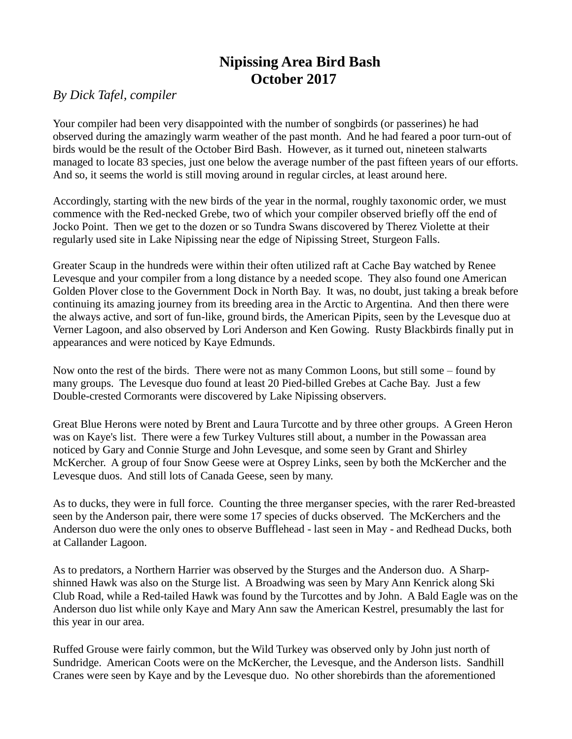## **Nipissing Area Bird Bash October 2017**

## *By Dick Tafel, compiler*

Your compiler had been very disappointed with the number of songbirds (or passerines) he had observed during the amazingly warm weather of the past month. And he had feared a poor turn-out of birds would be the result of the October Bird Bash. However, as it turned out, nineteen stalwarts managed to locate 83 species, just one below the average number of the past fifteen years of our efforts. And so, it seems the world is still moving around in regular circles, at least around here.

Accordingly, starting with the new birds of the year in the normal, roughly taxonomic order, we must commence with the Red-necked Grebe, two of which your compiler observed briefly off the end of Jocko Point. Then we get to the dozen or so Tundra Swans discovered by Therez Violette at their regularly used site in Lake Nipissing near the edge of Nipissing Street, Sturgeon Falls.

Greater Scaup in the hundreds were within their often utilized raft at Cache Bay watched by Renee Levesque and your compiler from a long distance by a needed scope. They also found one American Golden Plover close to the Government Dock in North Bay. It was, no doubt, just taking a break before continuing its amazing journey from its breeding area in the Arctic to Argentina. And then there were the always active, and sort of fun-like, ground birds, the American Pipits, seen by the Levesque duo at Verner Lagoon, and also observed by Lori Anderson and Ken Gowing. Rusty Blackbirds finally put in appearances and were noticed by Kaye Edmunds.

Now onto the rest of the birds. There were not as many Common Loons, but still some – found by many groups. The Levesque duo found at least 20 Pied-billed Grebes at Cache Bay. Just a few Double-crested Cormorants were discovered by Lake Nipissing observers.

Great Blue Herons were noted by Brent and Laura Turcotte and by three other groups. A Green Heron was on Kaye's list. There were a few Turkey Vultures still about, a number in the Powassan area noticed by Gary and Connie Sturge and John Levesque, and some seen by Grant and Shirley McKercher. A group of four Snow Geese were at Osprey Links, seen by both the McKercher and the Levesque duos. And still lots of Canada Geese, seen by many.

As to ducks, they were in full force. Counting the three merganser species, with the rarer Red-breasted seen by the Anderson pair, there were some 17 species of ducks observed. The McKerchers and the Anderson duo were the only ones to observe Bufflehead - last seen in May - and Redhead Ducks, both at Callander Lagoon.

As to predators, a Northern Harrier was observed by the Sturges and the Anderson duo. A Sharpshinned Hawk was also on the Sturge list. A Broadwing was seen by Mary Ann Kenrick along Ski Club Road, while a Red-tailed Hawk was found by the Turcottes and by John. A Bald Eagle was on the Anderson duo list while only Kaye and Mary Ann saw the American Kestrel, presumably the last for this year in our area.

Ruffed Grouse were fairly common, but the Wild Turkey was observed only by John just north of Sundridge. American Coots were on the McKercher, the Levesque, and the Anderson lists. Sandhill Cranes were seen by Kaye and by the Levesque duo. No other shorebirds than the aforementioned